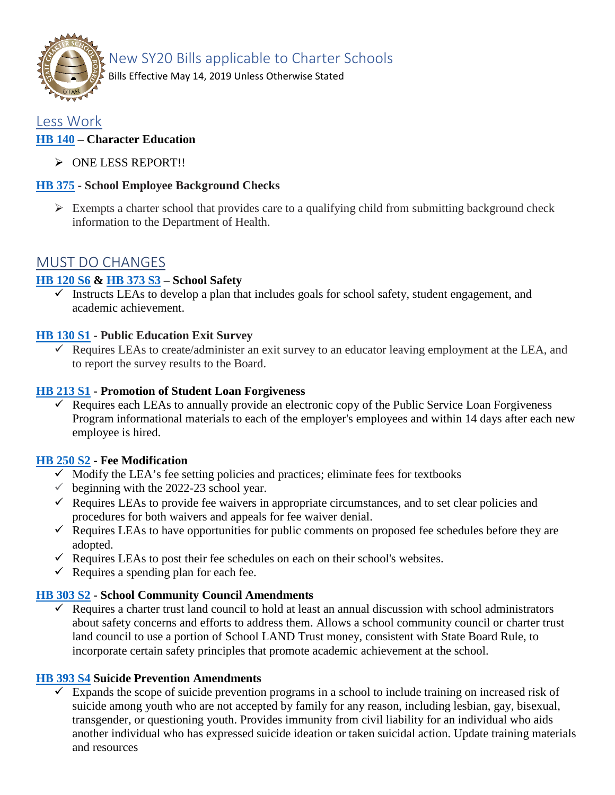

New SY20 Bills applicable to Charter Schools

Bills Effective May 14, 2019 Unless Otherwise Stated

# Less Work

## **[HB 140](https://le.utah.gov/%7E2019/bills/static/HB0140.html) – Character Education**

> ONE LESS REPORT!!

## **HB [375](https://le.utah.gov/%7E2019/bills/static/HB0375.html) - School Employee Background Checks**

 $\triangleright$  Exempts a charter school that provides care to a qualifying child from submitting background check information to the Department of Health.

# MUST DO CHANGES

## **[HB 120](https://le.utah.gov/%7E2019/bills/static/HB0120.html) S6 & [HB 373](https://le.utah.gov/%7E2019/bills/static/HB0373.html) S3 – School Safety**

 $\checkmark$  Instructs LEAs to develop a plan that includes goals for school safety, student engagement, and academic achievement.

## **HB [130](https://le.utah.gov/%7E2019/bills/static/HB0130.html) S1 - Public Education Exit Survey**

 $\checkmark$  Requires LEAs to create/administer an exit survey to an educator leaving employment at the LEA, and to report the survey results to the Board.

### **[HB 213 S1](https://le.utah.gov/%7E2019/bills/static/HB0213.html) - Promotion of Student Loan Forgiveness**

 $\checkmark$  Requires each LEAs to annually provide an electronic copy of the Public Service Loan Forgiveness Program informational materials to each of the employer's employees and within 14 days after each new employee is hired.

### **[HB 250 S2](https://le.utah.gov/%7E2019/bills/static/HB0250.html) - Fee Modification**

- $\checkmark$  Modify the LEA's fee setting policies and practices; eliminate fees for textbooks
- $\checkmark$  beginning with the 2022-23 school year.
- $\checkmark$  Requires LEAs to provide fee waivers in appropriate circumstances, and to set clear policies and procedures for both waivers and appeals for fee waiver denial.
- $\checkmark$  Requires LEAs to have opportunities for public comments on proposed fee schedules before they are adopted.
- $\checkmark$  Requires LEAs to post their fee schedules on each on their school's websites.
- $\checkmark$  Requires a spending plan for each fee.

### **[HB 303 S2](https://le.utah.gov/%7E2019/bills/static/HB0303.html) - School Community Council Amendments**

 $\checkmark$  Requires a charter trust land council to hold at least an annual discussion with school administrators about safety concerns and efforts to address them. Allows a school community council or charter trust land council to use a portion of School LAND Trust money, consistent with State Board Rule, to incorporate certain safety principles that promote academic achievement at the school.

### **[HB 393 S4](https://le.utah.gov/%7E2019/bills/static/HB0393.html) Suicide Prevention Amendments**

 $\checkmark$  Expands the scope of suicide prevention programs in a school to include training on increased risk of suicide among youth who are not accepted by family for any reason, including lesbian, gay, bisexual, transgender, or questioning youth. Provides immunity from civil liability for an individual who aids another individual who has expressed suicide ideation or taken suicidal action. Update training materials and resources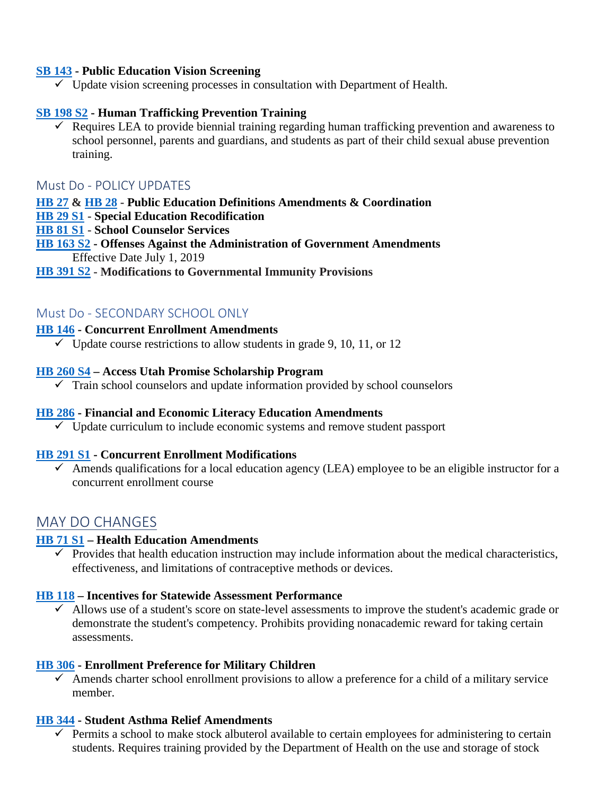### **[SB 143](https://le.utah.gov/%7E2019/bills/static/SB0143.html) - Public Education Vision Screening**

 $\checkmark$  Update vision screening processes in consultation with Department of Health.

### **[SB 198 S2](https://le.utah.gov/%7E2019/bills/static/SB0198.html) - Human Trafficking Prevention Training**

 $\checkmark$  Requires LEA to provide biennial training regarding human trafficking prevention and awareness to school personnel, parents and guardians, and students as part of their child sexual abuse prevention training.

### Must Do - POLICY UPDATES

#### **[HB 27](https://le.utah.gov/%7E2019/bills/static/HB0027.html) & [HB 28](https://le.utah.gov/%7E2019/bills/static/HB0028.html) - Public Education Definitions Amendments & Coordination**

- **HB [29 S1](https://le.utah.gov/%7E2019/bills/static/HB0029.html) - Special Education Recodification**
- **[HB 81](https://le.utah.gov/%7E2019/bills/static/HB0081.html) S1 - School Counselor Services**

### **[HB 163 S2](https://le.utah.gov/%7E2019/bills/static/HB0163.html) - Offenses Against the Administration of Government Amendments** Effective Date July 1, 2019

#### **[HB 391](https://le.utah.gov/%7E2019/bills/static/HB0391.html) S2 - Modifications to Governmental Immunity Provisions**

## Must Do - SECONDARY SCHOOL ONLY

#### **HB [146](https://le.utah.gov/%7E2019/bills/static/HB0146.html) - Concurrent Enrollment Amendments**

 $\checkmark$  Update course restrictions to allow students in grade 9, 10, 11, or 12

#### **[HB 260](https://le.utah.gov/%7E2019/bills/static/HB0260.html) S4 – Access Utah Promise Scholarship Program**

 $\checkmark$  Train school counselors and update information provided by school counselors

#### **HB [286](https://le.utah.gov/%7E2019/bills/static/HB0286.html) - Financial and Economic Literacy Education Amendments**

 $\checkmark$  Update curriculum to include economic systems and remove student passport

#### **[HB 291 S1](https://le.utah.gov/%7E2019/bills/static/HB0291.html) - Concurrent Enrollment Modifications**

 $\checkmark$  Amends qualifications for a local education agency (LEA) employee to be an eligible instructor for a concurrent enrollment course

## MAY DO CHANGES

#### **[HB 71 S1](https://le.utah.gov/%7E2019/bills/static/HB0071.html) – Health Education Amendments**

 $\checkmark$  Provides that health education instruction may include information about the medical characteristics, effectiveness, and limitations of contraceptive methods or devices.

#### **HB [118](https://le.utah.gov/%7E2019/bills/static/HB0118.html) – Incentives for Statewide Assessment Performance**

 $\checkmark$  Allows use of a student's score on state-level assessments to improve the student's academic grade or demonstrate the student's competency. Prohibits providing nonacademic reward for taking certain assessments.

#### **[HB 306](https://le.utah.gov/%7E2019/bills/static/HB0306.html) - Enrollment Preference for Military Children**

 $\checkmark$  Amends charter school enrollment provisions to allow a preference for a child of a military service member.

### **[HB 344](https://le.utah.gov/%7E2019/bills/static/HB0344.html) - Student Asthma Relief Amendments**

 $\checkmark$  Permits a school to make stock albuterol available to certain employees for administering to certain students. Requires training provided by the Department of Health on the use and storage of stock